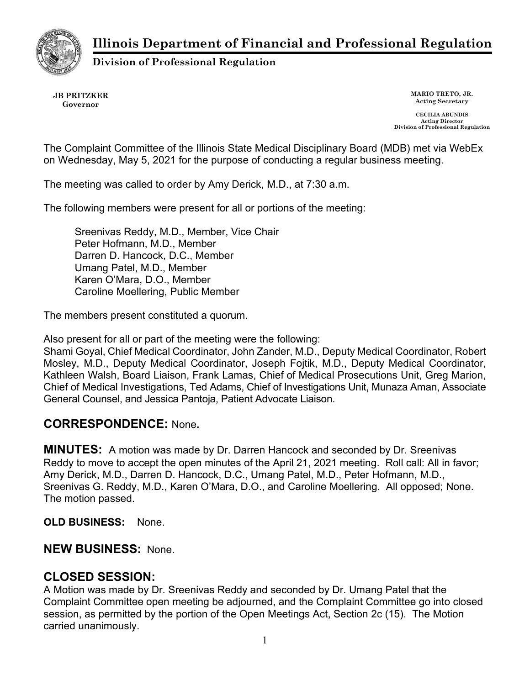**Illinois Department of Financial and Professional Regulation**



**Division of Professional Regulation**

**JB PRITZKER Governor**

**MARIO TRETO, JR. Acting Secretary**

**CECILIA ABUNDIS Acting Director Division of Professional Regulation**

The Complaint Committee of the Illinois State Medical Disciplinary Board (MDB) met via WebEx on Wednesday, May 5, 2021 for the purpose of conducting a regular business meeting.

The meeting was called to order by Amy Derick, M.D., at 7:30 a.m.

The following members were present for all or portions of the meeting:

Sreenivas Reddy, M.D., Member, Vice Chair Peter Hofmann, M.D., Member Darren D. Hancock, D.C., Member Umang Patel, M.D., Member Karen O'Mara, D.O., Member Caroline Moellering, Public Member

The members present constituted a quorum.

Also present for all or part of the meeting were the following:

Shami Goyal, Chief Medical Coordinator, John Zander, M.D., Deputy Medical Coordinator, Robert Mosley, M.D., Deputy Medical Coordinator, Joseph Fojtik, M.D., Deputy Medical Coordinator, Kathleen Walsh, Board Liaison, Frank Lamas, Chief of Medical Prosecutions Unit, Greg Marion, Chief of Medical Investigations, Ted Adams, Chief of Investigations Unit, Munaza Aman, Associate General Counsel, and Jessica Pantoja, Patient Advocate Liaison.

## **CORRESPONDENCE:** None**.**

**MINUTES:** A motion was made by Dr. Darren Hancock and seconded by Dr. Sreenivas Reddy to move to accept the open minutes of the April 21, 2021 meeting. Roll call: All in favor; Amy Derick, M.D., Darren D. Hancock, D.C., Umang Patel, M.D., Peter Hofmann, M.D., Sreenivas G. Reddy, M.D., Karen O'Mara, D.O., and Caroline Moellering. All opposed; None. The motion passed.

**OLD BUSINESS:** None.

## **NEW BUSINESS:** None.

## **CLOSED SESSION:**

A Motion was made by Dr. Sreenivas Reddy and seconded by Dr. Umang Patel that the Complaint Committee open meeting be adjourned, and the Complaint Committee go into closed session, as permitted by the portion of the Open Meetings Act, Section 2c (15). The Motion carried unanimously.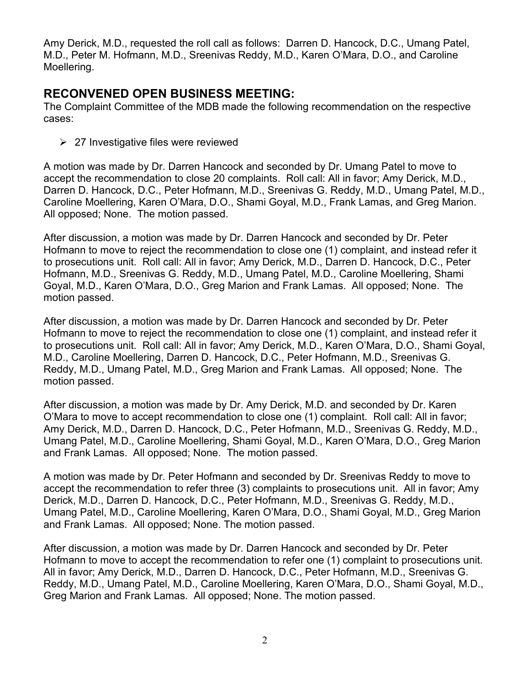Amy Derick, M.D., requested the roll call as follows: Darren D. Hancock, D.C., Umang Patel, M.D., Peter M. Hofmann, M.D., Sreenivas Reddy, M.D., Karen O'Mara, D.O., and Caroline Moellering.

## **RECONVENED OPEN BUSINESS MEETING:**

The Complaint Committee of the MDB made the following recommendation on the respective cases:

 $\geq$  27 Investigative files were reviewed

A motion was made by Dr. Darren Hancock and seconded by Dr. Umang Patel to move to accept the recommendation to close 20 complaints. Roll call: All in favor; Amy Derick, M.D., Darren D. Hancock, D.C., Peter Hofmann, M.D., Sreenivas G. Reddy, M.D., Umang Patel, M.D., Caroline Moellering, Karen O'Mara, D.O., Shami Goyal, M.D., Frank Lamas, and Greg Marion. All opposed; None. The motion passed.

After discussion, a motion was made by Dr. Darren Hancock and seconded by Dr. Peter Hofmann to move to reject the recommendation to close one (1) complaint, and instead refer it to prosecutions unit. Roll call: All in favor; Amy Derick, M.D., Darren D. Hancock, D.C., Peter Hofmann, M.D., Sreenivas G. Reddy, M.D., Umang Patel, M.D., Caroline Moellering, Shami Goyal, M.D., Karen O'Mara, D.O., Greg Marion and Frank Lamas. All opposed; None. The motion passed.

After discussion, a motion was made by Dr. Darren Hancock and seconded by Dr. Peter Hofmann to move to reject the recommendation to close one (1) complaint, and instead refer it to prosecutions unit. Roll call: All in favor; Amy Derick, M.D., Karen O'Mara, D.O., Shami Goyal, M.D., Caroline Moellering, Darren D. Hancock, D.C., Peter Hofmann, M.D., Sreenivas G. Reddy, M.D., Umang Patel, M.D., Greg Marion and Frank Lamas. All opposed; None. The motion passed.

After discussion, a motion was made by Dr. Amy Derick, M.D. and seconded by Dr. Karen O'Mara to move to accept recommendation to close one (1) complaint. Roll call: All in favor; Amy Derick, M.D., Darren D. Hancock, D.C., Peter Hofmann, M.D., Sreenivas G. Reddy, M.D., Umang Patel, M.D., Caroline Moellering, Shami Goyal, M.D., Karen O'Mara, D.O., Greg Marion and Frank Lamas. All opposed; None. The motion passed.

A motion was made by Dr. Peter Hofmann and seconded by Dr. Sreenivas Reddy to move to accept the recommendation to refer three (3) complaints to prosecutions unit. All in favor; Amy Derick, M.D., Darren D. Hancock, D.C., Peter Hofmann, M.D., Sreenivas G. Reddy, M.D., Umang Patel, M.D., Caroline Moellering, Karen O'Mara, D.O., Shami Goyal, M.D., Greg Marion and Frank Lamas. All opposed; None. The motion passed.

After discussion, a motion was made by Dr. Darren Hancock and seconded by Dr. Peter Hofmann to move to accept the recommendation to refer one (1) complaint to prosecutions unit. All in favor; Amy Derick, M.D., Darren D. Hancock, D.C., Peter Hofmann, M.D., Sreenivas G. Reddy, M.D., Umang Patel, M.D., Caroline Moellering, Karen O'Mara, D.O., Shami Goyal, M.D., Greg Marion and Frank Lamas. All opposed; None. The motion passed.